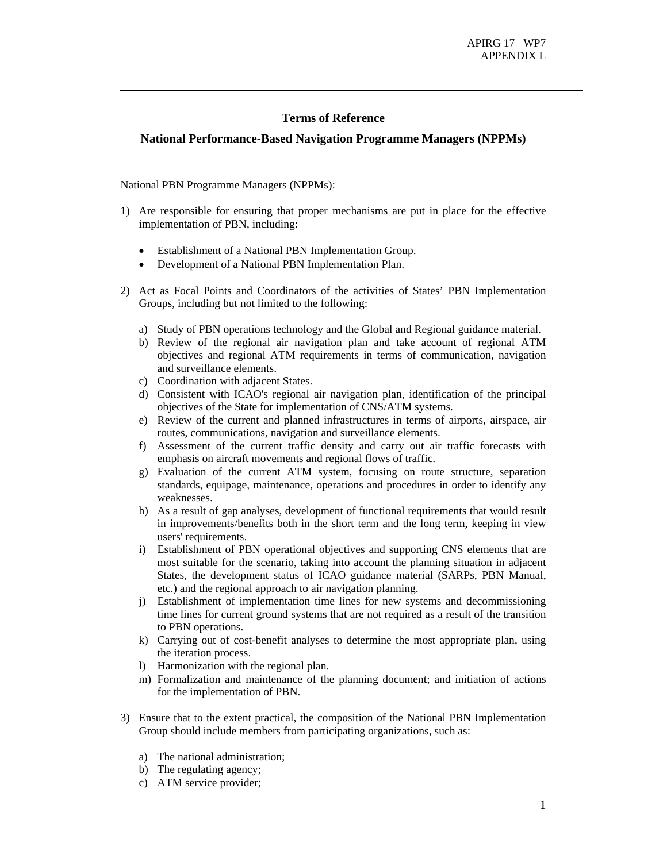## **Terms of Reference**

## **National Performance-Based Navigation Programme Managers (NPPMs)**

National PBN Programme Managers (NPPMs):

- 1) Are responsible for ensuring that proper mechanisms are put in place for the effective implementation of PBN, including:
	- Establishment of a National PBN Implementation Group.
	- Development of a National PBN Implementation Plan.
- 2) Act as Focal Points and Coordinators of the activities of States' PBN Implementation Groups, including but not limited to the following:
	- a) Study of PBN operations technology and the Global and Regional guidance material.
	- b) Review of the regional air navigation plan and take account of regional ATM objectives and regional ATM requirements in terms of communication, navigation and surveillance elements.
	- c) Coordination with adjacent States.
	- d) Consistent with ICAO's regional air navigation plan, identification of the principal objectives of the State for implementation of CNS/ATM systems.
	- e) Review of the current and planned infrastructures in terms of airports, airspace, air routes, communications, navigation and surveillance elements.
	- f) Assessment of the current traffic density and carry out air traffic forecasts with emphasis on aircraft movements and regional flows of traffic.
	- g) Evaluation of the current ATM system, focusing on route structure, separation standards, equipage, maintenance, operations and procedures in order to identify any weaknesses.
	- h) As a result of gap analyses, development of functional requirements that would result in improvements/benefits both in the short term and the long term, keeping in view users' requirements.
	- i) Establishment of PBN operational objectives and supporting CNS elements that are most suitable for the scenario, taking into account the planning situation in adjacent States, the development status of ICAO guidance material (SARPs, PBN Manual, etc.) and the regional approach to air navigation planning.
	- j) Establishment of implementation time lines for new systems and decommissioning time lines for current ground systems that are not required as a result of the transition to PBN operations.
	- k) Carrying out of cost-benefit analyses to determine the most appropriate plan, using the iteration process.
	- l) Harmonization with the regional plan.
	- m) Formalization and maintenance of the planning document; and initiation of actions for the implementation of PBN.
- 3) Ensure that to the extent practical, the composition of the National PBN Implementation Group should include members from participating organizations, such as:
	- a) The national administration;
	- b) The regulating agency;
	- c) ATM service provider;